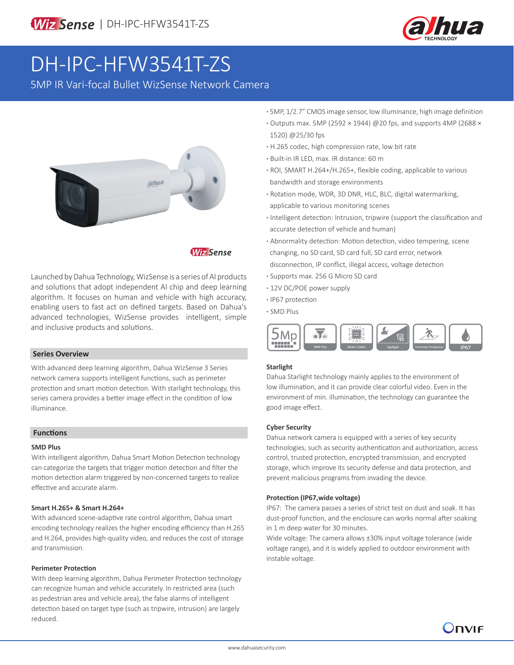

# DH-IPC-HFW3541T-ZS

5MP IR Vari-focal Bullet WizSense Network Camera



**Wiz Sense** 

Launched by Dahua Technology, WizSense is a series of AI products and solutions that adopt independent AI chip and deep learning algorithm. It focuses on human and vehicle with high accuracy, enabling users to fast act on defined targets. Based on Dahua's advanced technologies, WizSense provides intelligent, simple and inclusive products and solutions.

# **Series Overview**

With advanced deep learning algorithm, Dahua WizSense 3 Series network camera supports intelligent functions, such as perimeter protection and smart motion detection. With starlight technology, this series camera provides a better image effect in the condition of low illuminance.

#### **Functions**

#### **SMD Plus**

With intelligent algorithm, Dahua Smart Motion Detection technology can categorize the targets that trigger motion detection and filter the motion detection alarm triggered by non-concerned targets to realize effective and accurate alarm.

# **Smart H.265+ & Smart H.264+**

With advanced scene-adaptive rate control algorithm, Dahua smart encoding technology realizes the higher encoding efficiency than H.265 and H.264, provides high-quality video, and reduces the cost of storage and transmission.

# **Perimeter Protection**

With deep learning algorithm, Dahua Perimeter Protection technology can recognize human and vehicle accurately. In restricted area (such as pedestrian area and vehicle area), the false alarms of intelligent detection based on target type (such as tripwire, intrusion) are largely reduced.

- **·** 5MP, 1/2.7" CMOS image sensor, low illuminance, high image definition **·** Outputs max. 5MP (2592 × 1944) @20 fps, and supports 4MP (2688 × 1520) @25/30 fps
- **·** H.265 codec, high compression rate, low bit rate
- **·** Built-in IR LED, max. IR distance: 60 m
- **·** ROI, SMART H.264+/H.265+, flexible coding, applicable to various bandwidth and storage environments
- **·** Rotation mode, WDR, 3D DNR, HLC, BLC, digital watermarking, applicable to various monitoring scenes
- **·** Intelligent detection: Intrusion, tripwire (support the classification and accurate detection of vehicle and human)
- **·** Abnormality detection: Motion detection, video tempering, scene changing, no SD card, SD card full, SD card error, network disconnection, IP conflict, illegal access, voltage detection
- **·** Supports max. 256 G Micro SD card
- **·** 12V DC/POE power supply
- **·** IP67 protection
- **·** SMD Plus



#### **Starlight**

Dahua Starlight technology mainly applies to the environment of low illumination, and it can provide clear colorful video. Even in the environment of min. illumination, the technology can guarantee the good image effect.

# **Cyber Security**

Dahua network camera is equipped with a series of key security technologies, such as security authentication and authorization, access control, trusted protection, encrypted transmission, and encrypted storage, which improve its security defense and data protection, and prevent malicious programs from invading the device.

#### **Protection (IP67,wide voltage)**

IP67: The camera passes a series of strict test on dust and soak. It has dust-proof function, and the enclosure can works normal after soaking in 1 m deep water for 30 minutes.

Wide voltage: The camera allows ±30% input voltage tolerance (wide voltage range), and it is widely applied to outdoor environment with instable voltage.

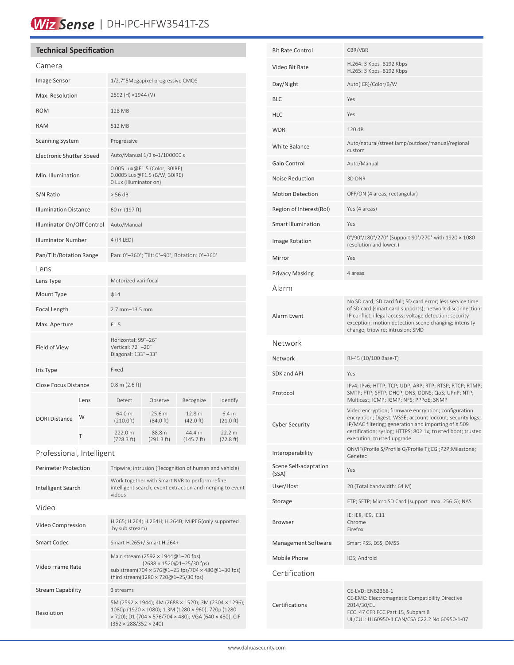# Wiz Sense | DH-IPC-HFW3541T-ZS

# **Technical Specification**

| Camera                          |      |                                                                                         |                     |                      |                     |
|---------------------------------|------|-----------------------------------------------------------------------------------------|---------------------|----------------------|---------------------|
| Image Sensor                    |      | 1/2.7"5Megapixel progressive CMOS                                                       |                     |                      |                     |
| Max. Resolution                 |      | 2592 (H) ×1944 (V)                                                                      |                     |                      |                     |
| <b>ROM</b>                      |      | 128 MB                                                                                  |                     |                      |                     |
| <b>RAM</b>                      |      | 512 MB                                                                                  |                     |                      |                     |
| <b>Scanning System</b>          |      | Progressive                                                                             |                     |                      |                     |
| <b>Electronic Shutter Speed</b> |      | Auto/Manual 1/3 s-1/100000 s                                                            |                     |                      |                     |
| Min. Illumination               |      | 0.005 Lux@F1.5 (Color, 30IRE)<br>0.0005 Lux@F1.5 (B/W, 30IRE)<br>0 Lux (Illuminator on) |                     |                      |                     |
| S/N Ratio                       |      | > 56 dB                                                                                 |                     |                      |                     |
| <b>Illumination Distance</b>    |      | 60 m (197 ft)                                                                           |                     |                      |                     |
| Illuminator On/Off Control      |      | Auto/Manual                                                                             |                     |                      |                     |
| <b>Illuminator Number</b>       |      | 4 (IR LED)                                                                              |                     |                      |                     |
| Pan/Tilt/Rotation Range         |      | Pan: 0°-360°; Tilt: 0°-90°; Rotation: 0°-360°                                           |                     |                      |                     |
| Lens                            |      |                                                                                         |                     |                      |                     |
| Lens Type                       |      | Motorized vari-focal                                                                    |                     |                      |                     |
| Mount Type                      |      | $\phi$ 14                                                                               |                     |                      |                     |
| Focal Length                    |      | 2.7 mm-13.5 mm                                                                          |                     |                      |                     |
| Max. Aperture                   |      | F1.5                                                                                    |                     |                      |                     |
| Field of View                   |      | Horizontal: 99°-26°<br>Vertical: 72°-20°<br>Diagonal: 133°-33°                          |                     |                      |                     |
| Iris Type                       |      | Fixed                                                                                   |                     |                      |                     |
| <b>Close Focus Distance</b>     |      | $0.8$ m (2.6 ft)                                                                        |                     |                      |                     |
| <b>DORI Distance</b>            | Lens | Detect                                                                                  | Observe             | Recognize            | Identify            |
|                                 | W    | 64.0 m<br>(210.0ft)                                                                     | 25.6 m<br>(84.0 ft) | 12.8 m<br>(42.0 ft)  | 6.4 m<br>(21.0 ft)  |
|                                 | T    | 222.0 m<br>(728.3 ft)                                                                   | 88.8m<br>(291.3 ft) | 44.4 m<br>(145.7 ft) | 22.2 m<br>(72.8 ft) |
| Professional, Intelligent       |      |                                                                                         |                     |                      |                     |

| <b>Perimeter Protection</b> | Tripwire; intrusion (Recognition of human and vehicle)                                                                                                                                                     |  |  |
|-----------------------------|------------------------------------------------------------------------------------------------------------------------------------------------------------------------------------------------------------|--|--|
| Intelligent Search          | Work together with Smart NVR to perform refine<br>intelligent search, event extraction and merging to event<br>videos                                                                                      |  |  |
| Video                       |                                                                                                                                                                                                            |  |  |
| Video Compression           | H.265; H.264; H.264H; H.264B; MJPEG(only supported<br>by sub stream)                                                                                                                                       |  |  |
| Smart Codec                 | Smart H.265+/ Smart H.264+                                                                                                                                                                                 |  |  |
| Video Frame Rate            | Main stream (2592 × 1944@1-20 fps)<br>$(2688 \times 1520@1 - 25/30$ fps)<br>sub stream(704 × 576@1-25 fps/704 × 480@1-30 fps)<br>third stream(1280 × 720@1-25/30 fps)                                      |  |  |
| <b>Stream Capability</b>    | 3 streams                                                                                                                                                                                                  |  |  |
| Resolution                  | 5M (2592 × 1944); 4M (2688 × 1520); 3M (2304 × 1296);<br>1080p (1920 × 1080); 1.3M (1280 × 960); 720p (1280<br>x 720); D1 (704 x 576/704 x 480); VGA (640 x 480); CIF<br>$(352 \times 288/352 \times 240)$ |  |  |

| <b>Bit Rate Control</b>        | CBR/VBR                                                                                                                                                                                                                                                                          |  |  |  |
|--------------------------------|----------------------------------------------------------------------------------------------------------------------------------------------------------------------------------------------------------------------------------------------------------------------------------|--|--|--|
| Video Bit Rate                 | H.264: 3 Kbps-8192 Kbps<br>H.265: 3 Kbps-8192 Kbps                                                                                                                                                                                                                               |  |  |  |
| Day/Night                      | Auto(ICR)/Color/B/W                                                                                                                                                                                                                                                              |  |  |  |
| BLC                            | Yes                                                                                                                                                                                                                                                                              |  |  |  |
| HLC                            | Yes                                                                                                                                                                                                                                                                              |  |  |  |
| WDR                            | 120 dB                                                                                                                                                                                                                                                                           |  |  |  |
| White Balance                  | Auto/natural/street lamp/outdoor/manual/regional<br>custom                                                                                                                                                                                                                       |  |  |  |
| Gain Control                   | Auto/Manual                                                                                                                                                                                                                                                                      |  |  |  |
| Noise Reduction                | 3D DNR                                                                                                                                                                                                                                                                           |  |  |  |
| <b>Motion Detection</b>        | OFF/ON (4 areas, rectangular)                                                                                                                                                                                                                                                    |  |  |  |
| Region of Interest(RoI)        | Yes (4 areas)                                                                                                                                                                                                                                                                    |  |  |  |
| Smart Illumination             | Yes                                                                                                                                                                                                                                                                              |  |  |  |
| <b>Image Rotation</b>          | 0°/90°/180°/270° (Support 90°/270° with 1920 × 1080<br>resolution and lower.)                                                                                                                                                                                                    |  |  |  |
| Mirror                         | Yes                                                                                                                                                                                                                                                                              |  |  |  |
| Privacy Masking                | 4 areas                                                                                                                                                                                                                                                                          |  |  |  |
| Alarm                          |                                                                                                                                                                                                                                                                                  |  |  |  |
| Alarm Event                    | No SD card; SD card full; SD card error; less service time<br>of SD card (smart card supports); network disconnection;<br>IP conflict; illegal access; voltage detection; security<br>exception; motion detection; scene changing; intensity<br>change; tripwire; intrusion; SMD |  |  |  |
| Network                        |                                                                                                                                                                                                                                                                                  |  |  |  |
| Network                        | RJ-45 (10/100 Base-T)                                                                                                                                                                                                                                                            |  |  |  |
| SDK and API                    | Yes                                                                                                                                                                                                                                                                              |  |  |  |
| Protocol                       | IPv4; IPv6; HTTP; TCP; UDP; ARP; RTP; RTSP; RTCP; RTMP;<br>SMTP; FTP; SFTP; DHCP; DNS; DDNS; QoS; UPnP; NTP;<br>Multicast; ICMP; IGMP; NFS; PPPoE; SNMP                                                                                                                          |  |  |  |
| Cyber Security                 | Video encryption; firmware encryption; configuration<br>encryption; Digest; WSSE; account lockout; security logs;<br>IP/MAC filtering; generation and importing of X.509<br>certification; syslog; HTTPS; 802.1x; trusted boot; trusted<br>execution; trusted upgrade            |  |  |  |
| Interoperability               | ONVIF(Profile S/Profile G/Profile T);CGI;P2P;Milestone;<br>Genetec                                                                                                                                                                                                               |  |  |  |
| Scene Self-adaptation<br>(SSA) | Yes                                                                                                                                                                                                                                                                              |  |  |  |
| User/Host                      | 20 (Total bandwidth: 64 M)                                                                                                                                                                                                                                                       |  |  |  |
| Storage                        | FTP; SFTP; Micro SD Card (support max. 256 G); NAS                                                                                                                                                                                                                               |  |  |  |
| Browser                        | IE: IE8, IE9, IE11<br>Chrome<br>Firefox                                                                                                                                                                                                                                          |  |  |  |
| Management Software            | Smart PSS, DSS, DMSS                                                                                                                                                                                                                                                             |  |  |  |
| Mobile Phone                   | IOS; Android                                                                                                                                                                                                                                                                     |  |  |  |
| Certification                  |                                                                                                                                                                                                                                                                                  |  |  |  |
| Certifications                 | CE-LVD: EN62368-1<br>CE-EMC: Electromagnetic Compatibility Directive<br>2014/30/EU<br>FCC: 47 CFR FCC Part 15, Subpart B                                                                                                                                                         |  |  |  |

UL/CUL: UL60950-1 CAN/CSA C22.2 No.60950-1-07